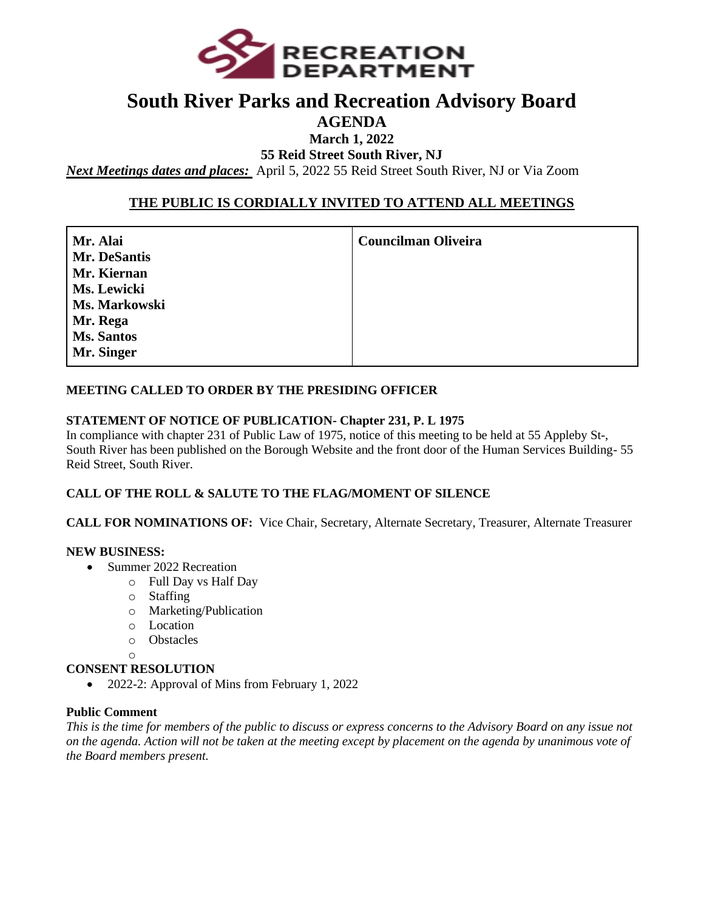

## **South River Parks and Recreation Advisory Board**

#### **AGENDA**

**March 1, 2022**

**55 Reid Street South River, NJ**

*Next Meetings dates and places:* April 5, 2022 55 Reid Street South River, NJ or Via Zoom

#### **THE PUBLIC IS CORDIALLY INVITED TO ATTEND ALL MEETINGS**

**Mr. Alai Mr. DeSantis Mr. Kiernan Ms. Lewicki Ms. Markowski Mr. Rega Ms. Santos Mr. Singer**

**Councilman Oliveira** 

#### **MEETING CALLED TO ORDER BY THE PRESIDING OFFICER**

#### **STATEMENT OF NOTICE OF PUBLICATION- Chapter 231, P. L 1975**

In compliance with chapter 231 of Public Law of 1975, notice of this meeting to be held at 55 Appleby St-, South River has been published on the Borough Website and the front door of the Human Services Building- 55 Reid Street, South River.

#### **CALL OF THE ROLL & SALUTE TO THE FLAG/MOMENT OF SILENCE**

**CALL FOR NOMINATIONS OF:** Vice Chair, Secretary, Alternate Secretary, Treasurer, Alternate Treasurer

#### **NEW BUSINESS:**

- Summer 2022 Recreation
	- o Full Day vs Half Day
		- o Staffing
		- o Marketing/Publication
		- o Location
		- o Obstacles
	- $\cap$

#### **CONSENT RESOLUTION**

• 2022-2: Approval of Mins from February 1, 2022

#### **Public Comment**

*This is the time for members of the public to discuss or express concerns to the Advisory Board on any issue not on the agenda. Action will not be taken at the meeting except by placement on the agenda by unanimous vote of the Board members present.*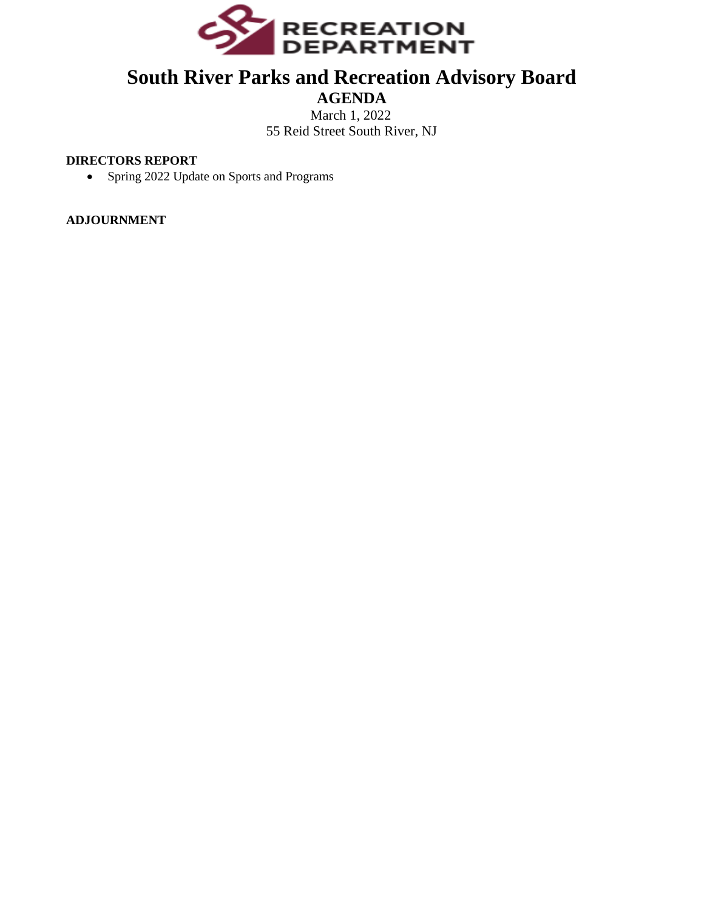

## **South River Parks and Recreation Advisory Board**

#### **AGENDA** March 1, 2022 55 Reid Street South River, NJ

#### **DIRECTORS REPORT**

• Spring 2022 Update on Sports and Programs

**ADJOURNMENT**